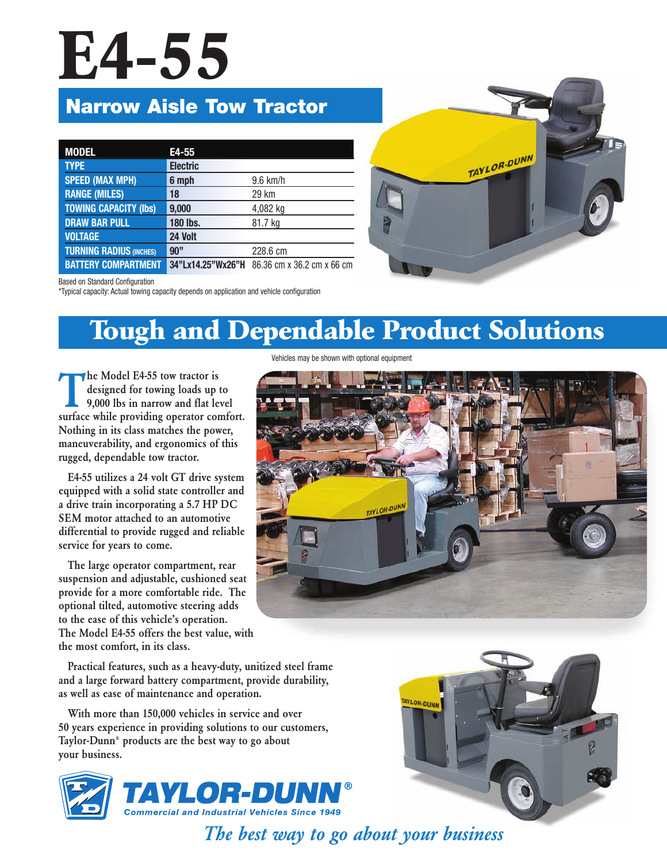# **E4-55**

### **Narrow Aisle Tow Tractor**

| <b>MODEL</b>                   | E4-55             |                            |
|--------------------------------|-------------------|----------------------------|
| <b>TYPE</b>                    | <b>Electric</b>   |                            |
| <b>SPEED (MAX MPH)</b>         | 6 mph             | 9.6 km/h                   |
| <b>RANGE (MILES)</b>           | 18                | 29 km                      |
| <b>TOWING CAPACITY (Ibs)</b>   | 9,000             | 4,082 kg                   |
| <b>DRAW BAR PULL</b>           | <b>180 lbs.</b>   | 81.7 kg                    |
| <b>VOLTAGE</b>                 | 24 Volt           |                            |
| <b>TURNING RADIUS (INCHES)</b> | 90"               | 228.6 cm                   |
| <b>BATTERY COMPARTMENT</b>     | 34"Lx14.25"Wx26"H | 86.36 cm x 36.2 cm x 66 cm |



Based on Standard Configuration

\*Typical capacity: Actual towing capacity depends on application and vehicle configuration

## **Tough and Dependable Product Solutions**

Vehicles may be shown with optional equipment

**The Model E4-55 tow tractor is<br>designed for towing loads up<br>9,000 lbs in narrow and flat le<br>surface while providing operator con designed for towing loads up to 9,000 lbs in narrow and flat level surface while providing operator comfort. Nothing in its class matches the power, maneuverability, and ergonomics of this rugged, dependable tow tractor.**

**E4-55 utilizes a 24 volt GT drive system equipped with a solid state controller and a drive train incorporating a 5.7 HP DC SEM motor attached to an automotive differential to provide rugged and reliable service for years to come.**

**The large operator compartment, rear suspension and adjustable, cushioned seat provide for a more comfortable ride. The optional tilted, automotive steering adds to the ease of this vehicle's operation. The Model E4-55 offers the best value, with the most comfort, in its class.**

**Practical features, such as a heavy-duty, unitized steel frame and a large forward battery compartment, provide durability, as well as ease of maintenance and operation.**

**With more than 150,000 vehicles in service and over 50 years experience in providing solutions to our customers, Taylor-Dunn® products are the best way to go about your business.**



TAYLOR-DUNN



*The best way to go about your business*